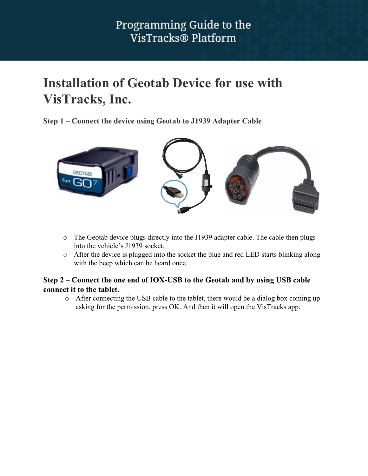## **Installation of Geotab Device for use with VisTracks, Inc.**

**Step 1 – Connect the device using Geotab to J1939 Adapter Cable**



- o The Geotab device plugs directly into the J1939 adapter cable. The cable then plugs into the vehicle's J1939 socket.
- o After the device is plugged into the socket the blue and red LED starts blinking along with the beep which can be heard once.

#### **Step 2 – Connect the one end of IOX-USB to the Geotab and by using USB cable connect it to the tablet.**

o After connecting the USB cable to the tablet, there would be a dialog box coming up asking for the permission, press OK. And then it will open the VisTracks app.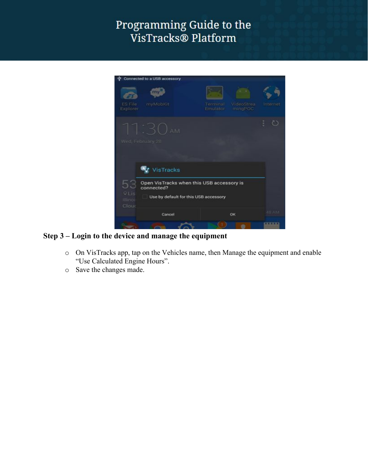

#### **Step 3 – Login to the device and manage the equipment**

- o On VisTracks app, tap on the Vehicles name, then Manage the equipment and enable "Use Calculated Engine Hours".
- o Save the changes made.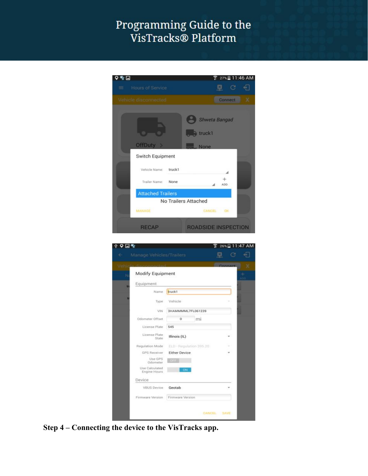# Programming Guide to the<br>VisTracks® Platform

| 11:46 AM<br>⊡<br>$27\%$                   |                                |
|-------------------------------------------|--------------------------------|
| <b>Hours of Service</b><br>≡              | C<br>ø                         |
| Vehicle disconnected                      | $\times$<br>Connect            |
|                                           | <b>Shweta Bangad</b><br>truck1 |
| <b>OffDuty</b><br>- 5<br>Switch Equipment | None                           |
| Vehicle Name: truck1                      |                                |
| Trailer Name:<br>None                     | ADD.                           |
| <b>Attached Trailers</b>                  |                                |
|                                           | No Trailers Attached           |
| MANAGE                                    | CANCEL<br>OК                   |
| <b>RECAP</b>                              | <b>ROADSIDE INSPECTION</b>     |

|                                |                         |    | Connect |  |
|--------------------------------|-------------------------|----|---------|--|
| Modify Equipment               |                         |    |         |  |
| Equipment                      |                         |    |         |  |
| Name                           | truck1                  |    |         |  |
| Type                           | Vehicle                 |    |         |  |
| VIN                            | 3HAMMMML7FL061239       |    |         |  |
| Odometer Offset                | o                       | mi |         |  |
| License Plate                  | 545                     |    |         |  |
| License Plate<br>State         | Illinois (IL)           |    |         |  |
| Regulation Mode                | ELD - Regulation 395.20 |    |         |  |
| GPS Receiver                   | <b>Either Device</b>    |    |         |  |
| Use GPS<br>Odometer            | <b>CHEE</b>             |    |         |  |
| Use Calculated<br>Engine Hours | ON                      |    |         |  |
| Device                         |                         |    |         |  |
| VBUS Device                    | Geotab                  |    |         |  |
| Firmware Version               | Firmware Version        |    |         |  |

**Step 4 – Connecting the device to the VisTracks app.**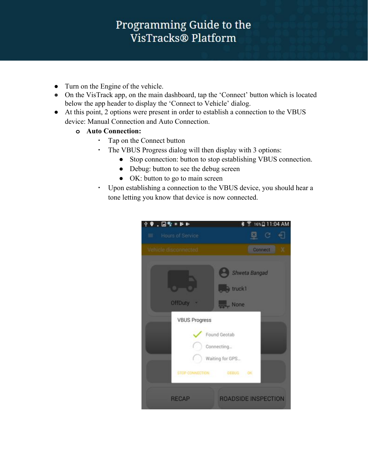#### Programming Guide to the VisTracks® Platform

- Turn on the Engine of the vehicle.
- **●** On the VisTrack app, on the main dashboard, tap the 'Connect' button which is located below the app header to display the 'Connect to Vehicle' dialog.
- At this point, 2 options were present in order to establish a connection to the VBUS device: Manual Connection and Auto Connection.
	- **o Auto Connection:**
		- Tap on the Connect button
		- The VBUS Progress dialog will then display with 3 options:
			- Stop connection: button to stop establishing VBUS connection.
			- Debug: button to see the debug screen
			- OK: button to go to main screen
		- Upon establishing a connection to the VBUS device, you should hear a tone letting you know that device is now connected.

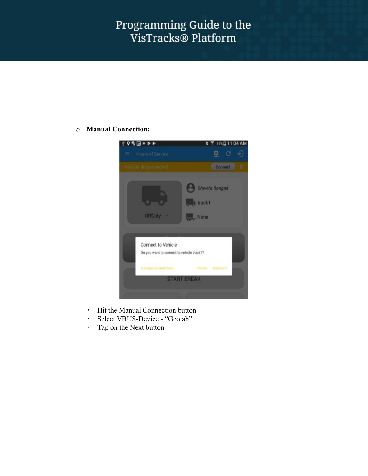#### o **Manual Connection:**



- Hit the Manual Connection button
- Select VBUS-Device "Geotab"
- Tap on the Next button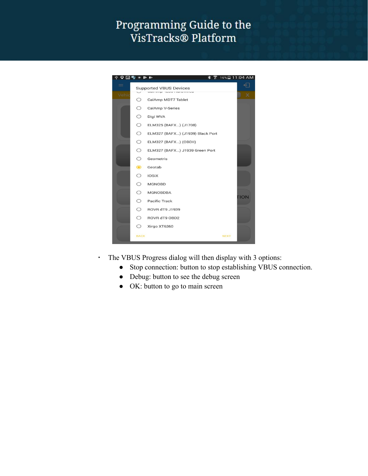

- The VBUS Progress dialog will then display with 3 options:
	- Stop connection: button to stop establishing VBUS connection.
	- Debug: button to see the debug screen
	- OK: button to go to main screen